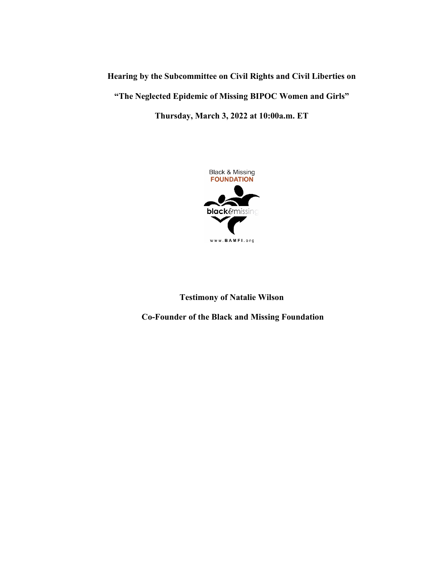# **Hearing by the Subcommittee on Civil Rights and Civil Liberties on "The Neglected Epidemic of Missing BIPOC Women and Girls" Thursday, March 3, 2022 at 10:00a.m. ET**



# **Testimony of Natalie Wilson**

**Co-Founder of the Black and Missing Foundation**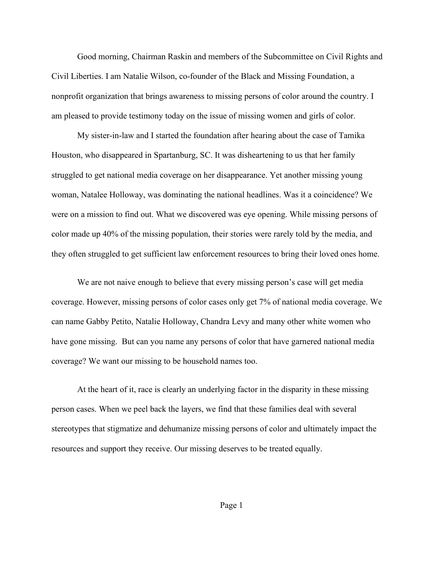Good morning, Chairman Raskin and members of the Subcommittee on Civil Rights and Civil Liberties. I am Natalie Wilson, co-founder of the Black and Missing Foundation, a nonprofit organization that brings awareness to missing persons of color around the country. I am pleased to provide testimony today on the issue of missing women and girls of color.

My sister-in-law and I started the foundation after hearing about the case of Tamika Houston, who disappeared in Spartanburg, SC. It was disheartening to us that her family struggled to get national media coverage on her disappearance. Yet another missing young woman, Natalee Holloway, was dominating the national headlines. Was it a coincidence? We were on a mission to find out. What we discovered was eye opening. While missing persons of color made up 40% of the missing population, their stories were rarely told by the media, and they often struggled to get sufficient law enforcement resources to bring their loved ones home.

We are not naive enough to believe that every missing person's case will get media coverage. However, missing persons of color cases only get 7% of national media coverage. We can name Gabby Petito, Natalie Holloway, Chandra Levy and many other white women who have gone missing. But can you name any persons of color that have garnered national media coverage? We want our missing to be household names too.

At the heart of it, race is clearly an underlying factor in the disparity in these missing person cases. When we peel back the layers, we find that these families deal with several stereotypes that stigmatize and dehumanize missing persons of color and ultimately impact the resources and support they receive. Our missing deserves to be treated equally.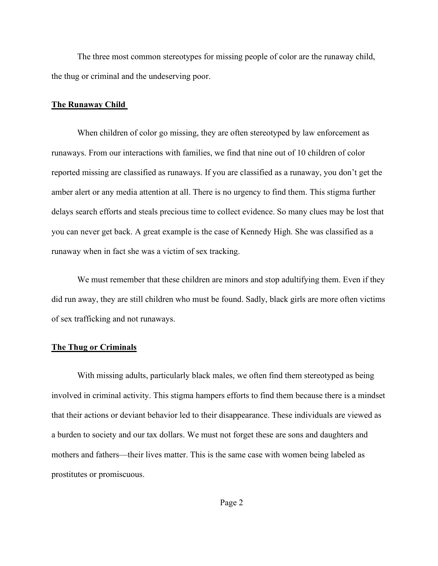The three most common stereotypes for missing people of color are the runaway child, the thug or criminal and the undeserving poor.

#### **The Runaway Child**

When children of color go missing, they are often stereotyped by law enforcement as runaways. From our interactions with families, we find that nine out of 10 children of color reported missing are classified as runaways. If you are classified as a runaway, you don't get the amber alert or any media attention at all. There is no urgency to find them. This stigma further delays search efforts and steals precious time to collect evidence. So many clues may be lost that you can never get back. A great example is the case of Kennedy High. She was classified as a runaway when in fact she was a victim of sex tracking.

We must remember that these children are minors and stop adultifying them. Even if they did run away, they are still children who must be found. Sadly, black girls are more often victims of sex trafficking and not runaways.

## **The Thug or Criminals**

With missing adults, particularly black males, we often find them stereotyped as being involved in criminal activity. This stigma hampers efforts to find them because there is a mindset that their actions or deviant behavior led to their disappearance. These individuals are viewed as a burden to society and our tax dollars. We must not forget these are sons and daughters and mothers and fathers—their lives matter. This is the same case with women being labeled as prostitutes or promiscuous.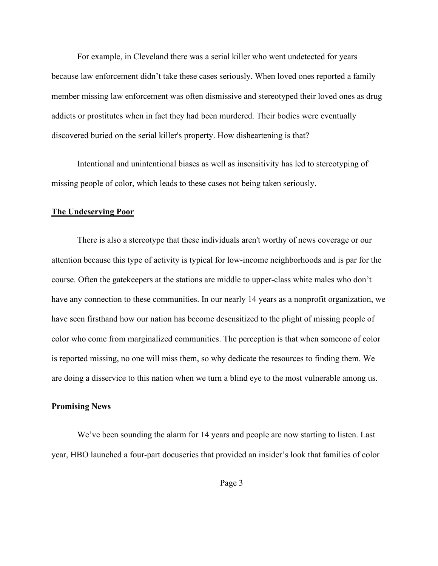For example, in Cleveland there was a serial killer who went undetected for years because law enforcement didn't take these cases seriously. When loved ones reported a family member missing law enforcement was often dismissive and stereotyped their loved ones as drug addicts or prostitutes when in fact they had been murdered. Their bodies were eventually discovered buried on the serial killer's property. How disheartening is that?

Intentional and unintentional biases as well as insensitivity has led to stereotyping of missing people of color, which leads to these cases not being taken seriously.

#### **The Undeserving Poor**

There is also a stereotype that these individuals aren't worthy of news coverage or our attention because this type of activity is typical for low-income neighborhoods and is par for the course. Often the gatekeepers at the stations are middle to upper-class white males who don't have any connection to these communities. In our nearly 14 years as a nonprofit organization, we have seen firsthand how our nation has become desensitized to the plight of missing people of color who come from marginalized communities. The perception is that when someone of color is reported missing, no one will miss them, so why dedicate the resources to finding them. We are doing a disservice to this nation when we turn a blind eye to the most vulnerable among us.

#### **Promising News**

We've been sounding the alarm for 14 years and people are now starting to listen. Last year, HBO launched a four-part docuseries that provided an insider's look that families of color

Page 3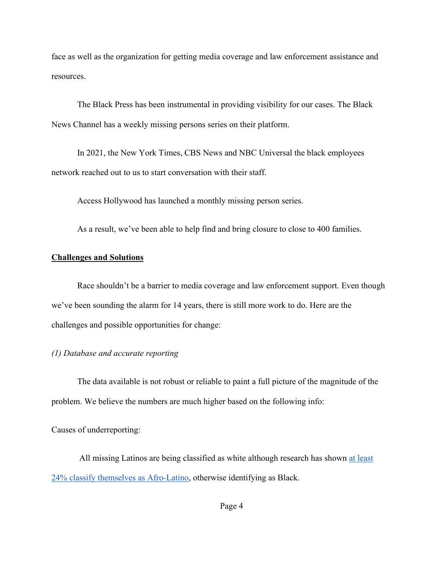face as well as the organization for getting media coverage and law enforcement assistance and resources.

The Black Press has been instrumental in providing visibility for our cases. The Black News Channel has a weekly missing persons series on their platform.

In 2021, the New York Times, CBS News and NBC Universal the black employees network reached out to us to start conversation with their staff.

Access Hollywood has launched a monthly missing person series.

As a result, we've been able to help find and bring closure to close to 400 families.

# **Challenges and Solutions**

Race shouldn't be a barrier to media coverage and law enforcement support. Even though we've been sounding the alarm for 14 years, there is still more work to do. Here are the challenges and possible opportunities for change:

#### *(1) Database and accurate reporting*

The data available is not robust or reliable to paint a full picture of the magnitude of the problem. We believe the numbers are much higher based on the following info:

Causes of underreporting:

All missing Latinos are being classified as white although research has shown [at least](https://www.pewresearch.org/fact-tank/2016/03/01/afro-latino-a-deeply-rooted-identity-among-u-s-hispanics/)  [24% classify themselves as Afro-Latino,](https://www.pewresearch.org/fact-tank/2016/03/01/afro-latino-a-deeply-rooted-identity-among-u-s-hispanics/) otherwise identifying as Black.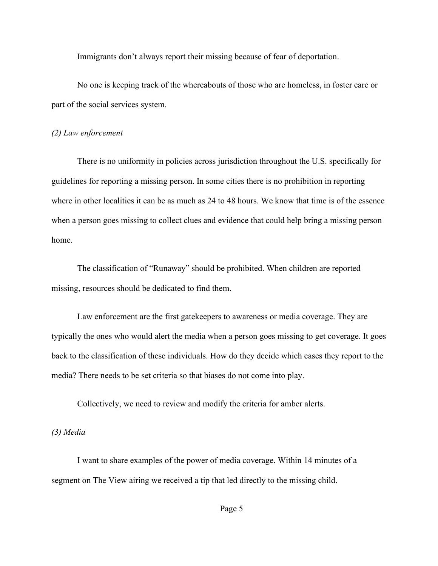Immigrants don't always report their missing because of fear of deportation.

No one is keeping track of the whereabouts of those who are homeless, in foster care or part of the social services system.

#### *(2) Law enforcement*

There is no uniformity in policies across jurisdiction throughout the U.S. specifically for guidelines for reporting a missing person. In some cities there is no prohibition in reporting where in other localities it can be as much as 24 to 48 hours. We know that time is of the essence when a person goes missing to collect clues and evidence that could help bring a missing person home.

The classification of "Runaway" should be prohibited. When children are reported missing, resources should be dedicated to find them.

Law enforcement are the first gatekeepers to awareness or media coverage. They are typically the ones who would alert the media when a person goes missing to get coverage. It goes back to the classification of these individuals. How do they decide which cases they report to the media? There needs to be set criteria so that biases do not come into play.

Collectively, we need to review and modify the criteria for amber alerts.

# *(3) Media*

I want to share examples of the power of media coverage. Within 14 minutes of a segment on The View airing we received a tip that led directly to the missing child.